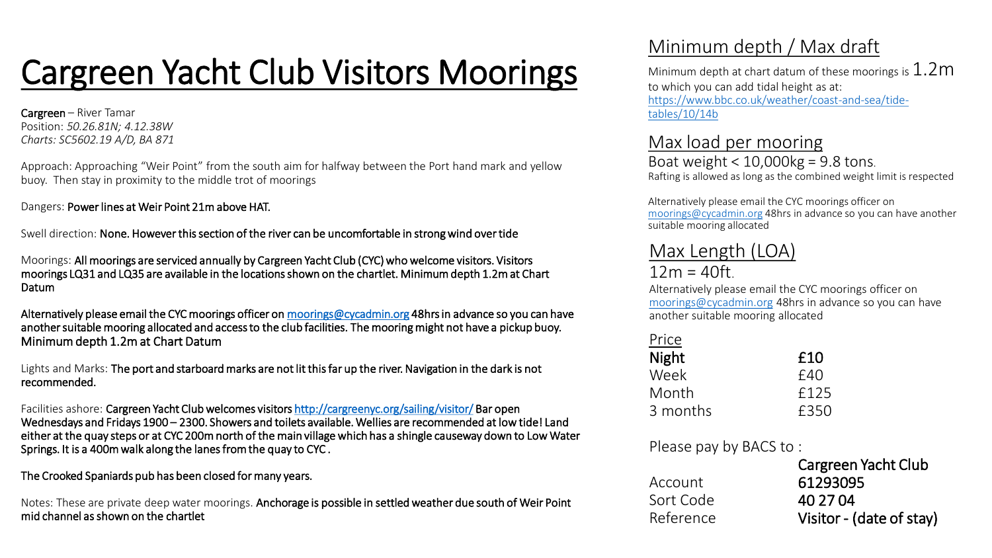# Cargreen Yacht Club Visitors Moorings

Cargreen – River Tamar Position: *50.26.81N; 4.12.38W Charts: SC5602.19 A/D, BA 871*

Approach: Approaching "Weir Point" from the south aim for halfway between the Port hand mark and yellow buoy. Then stay in proximity to the middle trot of moorings

Dangers: Power lines at Weir Point 21m above HAT.

Swell direction: None. However this section of the river can be uncomfortable in strong wind over tide

Moorings: All moorings are serviced annually by Cargreen Yacht Club (CYC) who welcome visitors. Visitors moorings LQ31 and LQ35 are available in the locations shown on the chartlet. Minimum depth 1.2m at Chart Datum

Alternatively please email the CYC moorings officer on [moorings@cycadmin.org](mailto:moorings@cycadmin.org) 48hrs in advance so you can have another suitable mooring allocated and access to the club facilities. The mooring might not have a pickup buoy. Minimum depth 1.2m at Chart Datum

Lights and Marks: The port and starboard marks are not lit this far up the river. Navigation in the dark is not recommended.

Facilities ashore: Cargreen Yacht Club welcomes visitors<http://cargreenyc.org/sailing/visitor/> Bar open Wednesdays and Fridays 1900 – 2300. Showers and toilets available. Wellies are recommended at low tide! Land either at the quay steps or at CYC 200m north of the main village which has a shingle causeway down to Low Water Springs. It is a 400m walk along the lanes from the quay to CYC .

The Crooked Spaniards pub has been closed for many years.

Notes: These are private deep water moorings. Anchorage is possible in settled weather due south of Weir Point mid channel as shown on the chartlet

# Minimum depth / Max draft

Minimum depth at chart datum of these moorings is  $1.2<$  M to which you can add tidal height as at: [https://www.bbc.co.uk/weather/coast-and-sea/tide](https://www.bbc.co.uk/weather/coast-and-sea/tide-tables/10/14b)tables/10/14b

## Max load per mooring

Boat weight  $<$  10,000kg = 9.8 tons. Rafting is allowed as long as the combined weight limit is respected

Alternatively please email the CYC moorings officer on [moorings@cycadmin.org](mailto:moorings@cycadmin.org) 48hrs in advance so you can have another suitable mooring allocated

# Max Length (LOA)

### $12m = 40$ ft.

Alternatively please email the CYC moorings officer on [moorings@cycadmin.org](mailto:moorings@cycadmin.org) 48hrs in advance so you can have another suitable mooring allocated

#### Price

| <b>Night</b> | £10  |
|--------------|------|
| Week         | £40  |
| Month        | f125 |
| 3 months     | £350 |

Please pay by BACS to :

| Cargieen facile Club     |
|--------------------------|
| 61293095                 |
| 40 27 04                 |
| Visitor - (date of stay) |
|                          |

Cargreen Yacht Club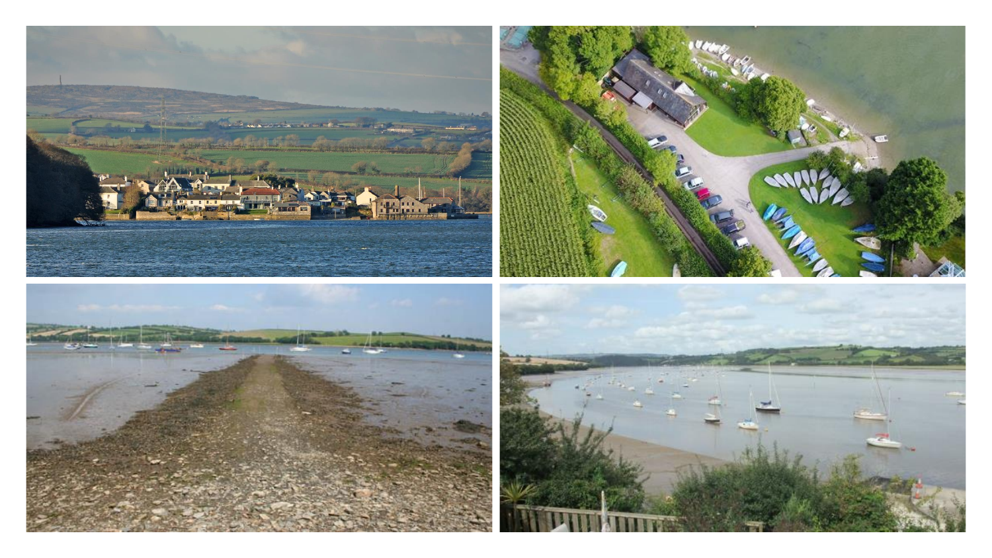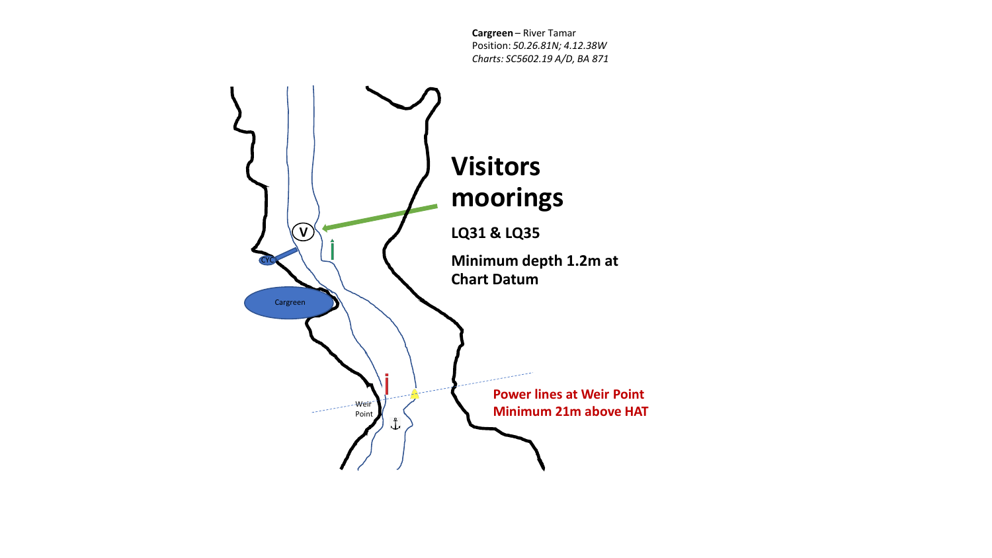**Cargreen** – River Tamar Position: *50.26.81N; 4.12.38W Charts: SC5602.19 A/D, BA 871*